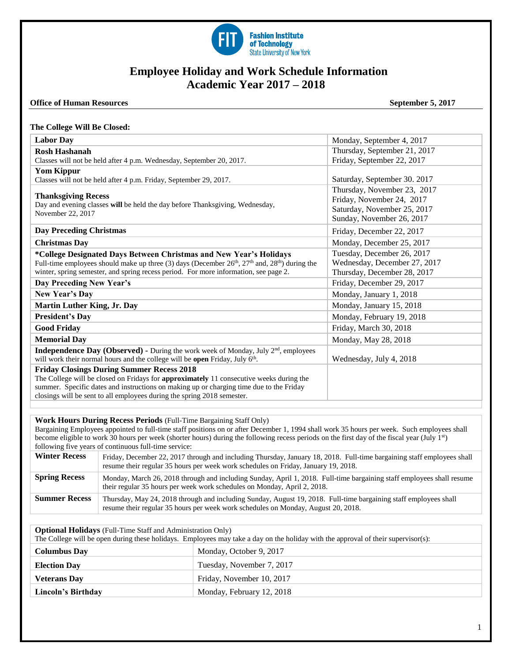

# **Employee Holiday and Work Schedule Information Academic Year 2017 – 2018**

### **Office of Human Resources** September 5, 2017

#### **The College Will Be Closed:**

| <b>Labor Day</b>                                                                                                                                                                                                                                                                                 | Monday, September 4, 2017                                                                 |
|--------------------------------------------------------------------------------------------------------------------------------------------------------------------------------------------------------------------------------------------------------------------------------------------------|-------------------------------------------------------------------------------------------|
| <b>Rosh Hashanah</b>                                                                                                                                                                                                                                                                             | Thursday, September 21, 2017                                                              |
| Classes will not be held after 4 p.m. Wednesday, September 20, 2017.                                                                                                                                                                                                                             | Friday, September 22, 2017                                                                |
| <b>Yom Kippur</b>                                                                                                                                                                                                                                                                                |                                                                                           |
| Classes will not be held after 4 p.m. Friday, September 29, 2017.                                                                                                                                                                                                                                | Saturday, September 30. 2017                                                              |
| <b>Thanksgiving Recess</b><br>Day and evening classes will be held the day before Thanksgiving, Wednesday,<br>November 22, 2017                                                                                                                                                                  | Thursday, November 23, 2017<br>Friday, November 24, 2017<br>Saturday, November 25, 2017   |
|                                                                                                                                                                                                                                                                                                  | Sunday, November 26, 2017                                                                 |
| <b>Day Preceding Christmas</b>                                                                                                                                                                                                                                                                   | Friday, December 22, 2017                                                                 |
| <b>Christmas Day</b>                                                                                                                                                                                                                                                                             | Monday, December 25, 2017                                                                 |
| *College Designated Days Between Christmas and New Year's Holidays<br>Full-time employees should make up three (3) days (December 26 <sup>th</sup> , 27 <sup>th</sup> and, 28 <sup>th</sup> ) during the<br>winter, spring semester, and spring recess period. For more information, see page 2. | Tuesday, December 26, 2017<br>Wednesday, December 27, 2017<br>Thursday, December 28, 2017 |
| Day Preceding New Year's                                                                                                                                                                                                                                                                         | Friday, December 29, 2017                                                                 |
| New Year's Day                                                                                                                                                                                                                                                                                   | Monday, January 1, 2018                                                                   |
| <b>Martin Luther King, Jr. Day</b>                                                                                                                                                                                                                                                               | Monday, January 15, 2018                                                                  |
| <b>President's Day</b>                                                                                                                                                                                                                                                                           | Monday, February 19, 2018                                                                 |
| <b>Good Friday</b>                                                                                                                                                                                                                                                                               | Friday, March 30, 2018                                                                    |
| <b>Memorial Day</b>                                                                                                                                                                                                                                                                              | Monday, May 28, 2018                                                                      |
| <b>Independence Day (Observed)</b> - During the work week of Monday, July $2^{nd}$ , employees<br>will work their normal hours and the college will be open Friday, July 6 <sup>th</sup> .                                                                                                       | Wednesday, July 4, 2018                                                                   |
| <b>Friday Closings During Summer Recess 2018</b>                                                                                                                                                                                                                                                 |                                                                                           |
| The College will be closed on Fridays for approximately 11 consecutive weeks during the<br>summer. Specific dates and instructions on making up or charging time due to the Friday<br>closings will be sent to all employees during the spring 2018 semester.                                    |                                                                                           |
|                                                                                                                                                                                                                                                                                                  |                                                                                           |

### **Work Hours During Recess Periods** (Full-Time Bargaining Staff Only)

Bargaining Employees appointed to full-time staff positions on or after December 1, 1994 shall work 35 hours per week. Such employees shall become eligible to work 30 hours per week (shorter hours) during the following recess periods on the first day of the fiscal year (July 1<sup>st</sup>) following five years of continuous full-time service:

| <b>Winter Recess</b> | Friday, December 22, 2017 through and including Thursday, January 18, 2018. Full-time bargaining staff employees shall<br>resume their regular 35 hours per week work schedules on Friday, January 19, 2018. |
|----------------------|--------------------------------------------------------------------------------------------------------------------------------------------------------------------------------------------------------------|
| <b>Spring Recess</b> | Monday, March 26, 2018 through and including Sunday, April 1, 2018. Full-time bargaining staff employees shall resume<br>their regular 35 hours per week work schedules on Monday, April 2, 2018.            |
| <b>Summer Recess</b> | Thursday, May 24, 2018 through and including Sunday, August 19, 2018. Full-time bargaining staff employees shall<br>resume their regular 35 hours per week work schedules on Monday, August 20, 2018.        |

| <b>Optional Holidays</b> (Full-Time Staff and Administration Only)                                                                |                           |  |
|-----------------------------------------------------------------------------------------------------------------------------------|---------------------------|--|
| The College will be open during these holidays. Employees may take a day on the holiday with the approval of their supervisor(s): |                           |  |
| <b>Columbus Day</b>                                                                                                               | Monday, October 9, 2017   |  |
| <b>Election Day</b>                                                                                                               | Tuesday, November 7, 2017 |  |
| <b>Veterans Day</b>                                                                                                               | Friday, November 10, 2017 |  |
| Lincoln's Birthday                                                                                                                | Monday, February 12, 2018 |  |